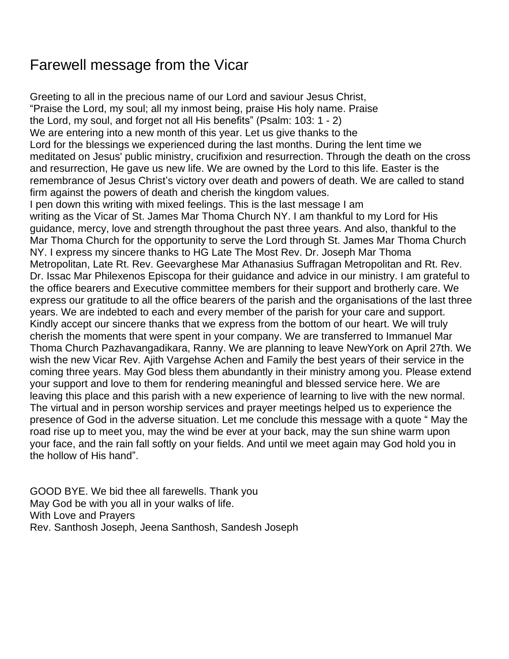## Farewell message from the Vicar

Greeting to all in the precious name of our Lord and saviour Jesus Christ, "Praise the Lord, my soul; all my inmost being, praise His holy name. Praise the Lord, my soul, and forget not all His benefits" (Psalm: 103: 1 - 2) We are entering into a new month of this year. Let us give thanks to the Lord for the blessings we experienced during the last months. During the lent time we meditated on Jesus' public ministry, crucifixion and resurrection. Through the death on the cross and resurrection, He gave us new life. We are owned by the Lord to this life. Easter is the remembrance of Jesus Christ's victory over death and powers of death. We are called to stand firm against the powers of death and cherish the kingdom values. I pen down this writing with mixed feelings. This is the last message I am writing as the Vicar of St. James Mar Thoma Church NY. I am thankful to my Lord for His guidance, mercy, love and strength throughout the past three years. And also, thankful to the Mar Thoma Church for the opportunity to serve the Lord through St. James Mar Thoma Church NY. I express my sincere thanks to HG Late The Most Rev. Dr. Joseph Mar Thoma Metropolitan, Late Rt. Rev. Geevarghese Mar Athanasius Suffragan Metropolitan and Rt. Rev. Dr. Issac Mar Philexenos Episcopa for their guidance and advice in our ministry. I am grateful to the office bearers and Executive committee members for their support and brotherly care. We express our gratitude to all the office bearers of the parish and the organisations of the last three years. We are indebted to each and every member of the parish for your care and support. Kindly accept our sincere thanks that we express from the bottom of our heart. We will truly cherish the moments that were spent in your company. We are transferred to Immanuel Mar Thoma Church Pazhavangadikara, Ranny. We are planning to leave NewYork on April 27th. We wish the new Vicar Rev. Ajith Vargehse Achen and Family the best years of their service in the coming three years. May God bless them abundantly in their ministry among you. Please extend your support and love to them for rendering meaningful and blessed service here. We are leaving this place and this parish with a new experience of learning to live with the new normal. The virtual and in person worship services and prayer meetings helped us to experience the presence of God in the adverse situation. Let me conclude this message with a quote " May the road rise up to meet you, may the wind be ever at your back, may the sun shine warm upon your face, and the rain fall softly on your fields. And until we meet again may God hold you in the hollow of His hand".

GOOD BYE. We bid thee all farewells. Thank you May God be with you all in your walks of life. With Love and Prayers Rev. Santhosh Joseph, Jeena Santhosh, Sandesh Joseph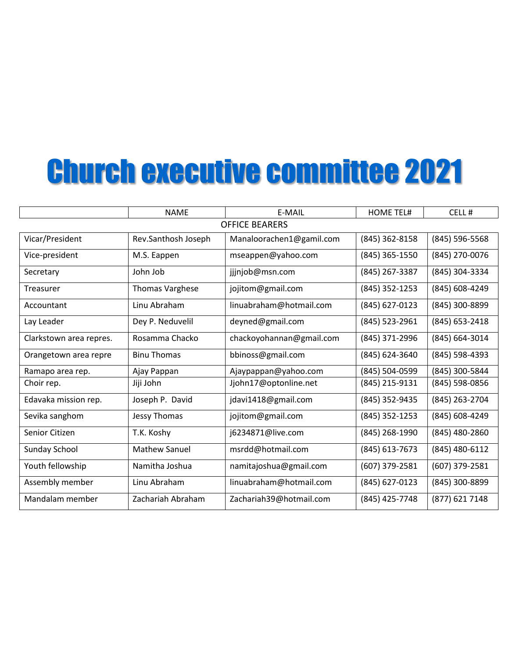# Church executive committee 2021

|                         | <b>NAME</b>            | E-MAIL                   | <b>HOME TEL#</b> | CELL#          |  |  |
|-------------------------|------------------------|--------------------------|------------------|----------------|--|--|
| <b>OFFICE BEARERS</b>   |                        |                          |                  |                |  |  |
| Vicar/President         | Rev.Santhosh Joseph    | Manaloorachen1@gamil.com | (845) 362-8158   | (845) 596-5568 |  |  |
| Vice-president          | M.S. Eappen            | mseappen@yahoo.com       | (845) 365-1550   | (845) 270-0076 |  |  |
| Secretary               | John Job               | jjjnjob@msn.com          | (845) 267-3387   | (845) 304-3334 |  |  |
| Treasurer               | <b>Thomas Varghese</b> | jojitom@gmail.com        | (845) 352-1253   | (845) 608-4249 |  |  |
| Accountant              | Linu Abraham           | linuabraham@hotmail.com  | (845) 627-0123   | (845) 300-8899 |  |  |
| Lay Leader              | Dey P. Neduvelil       | deyned@gmail.com         | (845) 523-2961   | (845) 653-2418 |  |  |
| Clarkstown area repres. | Rosamma Chacko         | chackoyohannan@gmail.com | (845) 371-2996   | (845) 664-3014 |  |  |
| Orangetown area repre   | <b>Binu Thomas</b>     | bbinoss@gmail.com        | (845) 624-3640   | (845) 598-4393 |  |  |
| Ramapo area rep.        | Ajay Pappan            | Ajaypappan@yahoo.com     | (845) 504-0599   | (845) 300-5844 |  |  |
| Choir rep.              | Jiji John              | Jjohn17@optonline.net    | (845) 215-9131   | (845) 598-0856 |  |  |
| Edavaka mission rep.    | Joseph P. David        | jdavi1418@gmail.com      | (845) 352-9435   | (845) 263-2704 |  |  |
| Sevika sanghom          | Jessy Thomas           | jojitom@gmail.com        | (845) 352-1253   | (845) 608-4249 |  |  |
| Senior Citizen          | T.K. Koshy             | j6234871@live.com        | (845) 268-1990   | (845) 480-2860 |  |  |
| Sunday School           | <b>Mathew Sanuel</b>   | msrdd@hotmail.com        | (845) 613-7673   | (845) 480-6112 |  |  |
| Youth fellowship        | Namitha Joshua         | namitajoshua@gmail.com   | (607) 379-2581   | (607) 379-2581 |  |  |
| Assembly member         | Linu Abraham           | linuabraham@hotmail.com  | (845) 627-0123   | (845) 300-8899 |  |  |
| Mandalam member         | Zachariah Abraham      | Zachariah39@hotmail.com  | (845) 425-7748   | (877) 621 7148 |  |  |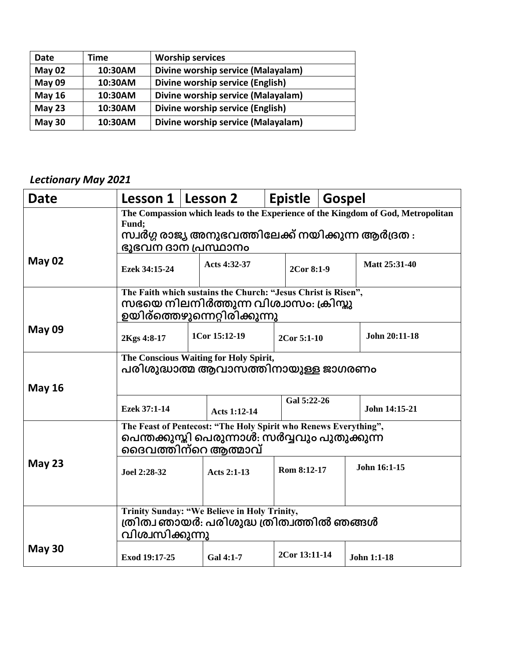| Date          | Time    | <b>Worship services</b>            |
|---------------|---------|------------------------------------|
| May 02        | 10:30AM | Divine worship service (Malayalam) |
| May 09        | 10:30AM | Divine worship service (English)   |
| May $16$      | 10:30AM | Divine worship service (Malayalam) |
| May $23$      | 10:30AM | Divine worship service (English)   |
| <b>May 30</b> | 10:30AM | Divine worship service (Malayalam) |

#### *Lectionary May 2021*

| <b>Date</b>   | Lesson 1   Lesson 2                                                                                                                                                   |  |                    |  | <b>Epistle</b> | <b>Gospel</b> |                    |
|---------------|-----------------------------------------------------------------------------------------------------------------------------------------------------------------------|--|--------------------|--|----------------|---------------|--------------------|
|               | The Compassion which leads to the Experience of the Kingdom of God, Metropolitan<br>Fund;<br>സ്വർഗ്ഗ രാജ്യ അനുഭവത്തിലേക്ക് നയിക്കുന്ന ആർദ്രത :<br>ഭൂഭവന ദാന പ്രസ്ഥാനം |  |                    |  |                |               |                    |
| <b>May 02</b> | Ezek 34:15-24                                                                                                                                                         |  | Acts 4:32-37       |  | 2Cor 8:1-9     |               | Matt 25:31-40      |
|               | The Faith which sustains the Church: "Jesus Christ is Risen",<br>സഭയെ നിലനിർത്തുന്ന വിശ്വാസം: ക്രിസ്കു<br>ഉയിര്ത്തെഴുന്നെറ്റിരിക്കുന്നു                               |  |                    |  |                |               |                    |
| <b>May 09</b> | 2Kgs 4:8-17                                                                                                                                                           |  | 1Cor 15:12-19      |  | 2Cor 5:1-10    |               | John 20:11-18      |
| <b>May 16</b> | The Conscious Waiting for Holy Spirit,<br>പരിശുദ്ധാത്മ ആവാസത്തിനായുള്ള ജാഗരണം                                                                                         |  |                    |  |                |               |                    |
|               | Ezek 37:1-14                                                                                                                                                          |  | Acts 1:12-14       |  | Gal 5:22-26    |               | John 14:15-21      |
|               | The Feast of Pentecost: "The Holy Spirit who Renews Everything",<br>പെന്തക്കുസ്തി പെരുന്നാൾ: സർവ്വവും പുതുക്കുന്ന<br>ദൈവത്തിന്റെ ആത്മാവ്                              |  |                    |  |                |               |                    |
| <b>May 23</b> | Joel 2:28-32                                                                                                                                                          |  | <b>Acts 2:1-13</b> |  | Rom 8:12-17    |               | John 16:1-15       |
|               | Trinity Sunday: "We Believe in Holy Trinity,<br>ത്രിത്വ ഞായർ: പരിശുദ്ധ ത്രിത്വത്തിൽ ഞങ്ങൾ                                                                             |  |                    |  |                |               |                    |
|               | വിശ്വസിക്കുന്നു                                                                                                                                                       |  |                    |  |                |               |                    |
| May 30        | Exod 19:17-25                                                                                                                                                         |  | <b>Gal 4:1-7</b>   |  | 2Cor 13:11-14  |               | <b>John 1:1-18</b> |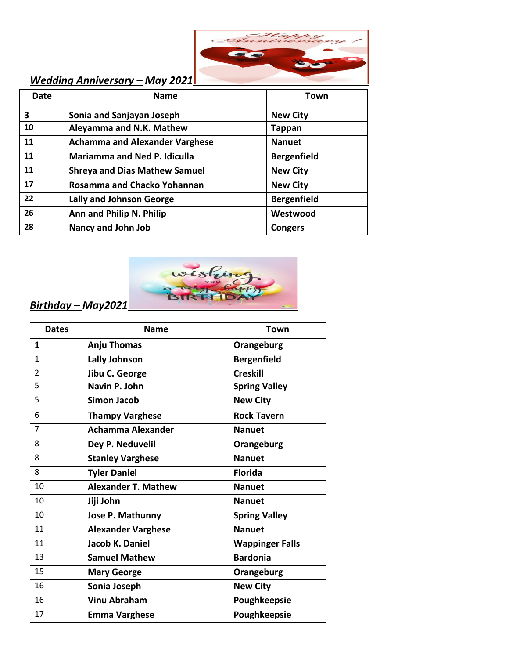

#### *Wedding Anniversary – May 2021*

| <b>Date</b> | <b>Name</b>                           | Town               |
|-------------|---------------------------------------|--------------------|
| 3           | Sonia and Sanjayan Joseph             | <b>New City</b>    |
| 10          | Aleyamma and N.K. Mathew              | <b>Tappan</b>      |
| 11          | <b>Achamma and Alexander Varghese</b> | <b>Nanuet</b>      |
| 11          | <b>Mariamma and Ned P. Idiculla</b>   | <b>Bergenfield</b> |
| 11          | <b>Shreya and Dias Mathew Samuel</b>  | <b>New City</b>    |
| 17          | Rosamma and Chacko Yohannan           | <b>New City</b>    |
| 22          | <b>Lally and Johnson George</b>       | <b>Bergenfield</b> |
| 26          | Ann and Philip N. Philip              | Westwood           |
| 28          | Nancy and John Job                    | <b>Congers</b>     |



### *Birthday – May2021*

| <b>Dates</b>   | <b>Name</b>                | Town                   |
|----------------|----------------------------|------------------------|
| 1              | Anju Thomas                | Orangeburg             |
| $\mathbf{1}$   | <b>Lally Johnson</b>       | <b>Bergenfield</b>     |
| $\overline{2}$ | Jibu C. George             | <b>Creskill</b>        |
| 5              | Navin P. John              | <b>Spring Valley</b>   |
| 5              | <b>Simon Jacob</b>         | <b>New City</b>        |
| 6              | <b>Thampy Varghese</b>     | <b>Rock Tavern</b>     |
| 7              | <b>Achamma Alexander</b>   | <b>Nanuet</b>          |
| 8              | Dey P. Neduvelil           | Orangeburg             |
| 8              | <b>Stanley Varghese</b>    | <b>Nanuet</b>          |
| 8              | <b>Tyler Daniel</b>        | <b>Florida</b>         |
| 10             | <b>Alexander T. Mathew</b> | <b>Nanuet</b>          |
| 10             | Jiji John                  | <b>Nanuet</b>          |
| 10             | Jose P. Mathunny           | <b>Spring Valley</b>   |
| 11             | <b>Alexander Varghese</b>  | <b>Nanuet</b>          |
| 11             | Jacob K. Daniel            | <b>Wappinger Falls</b> |
| 13             | <b>Samuel Mathew</b>       | <b>Bardonia</b>        |
| 15             | <b>Mary George</b>         | Orangeburg             |
| 16             | Sonia Joseph               | <b>New City</b>        |
| 16             | <b>Vinu Abraham</b>        | Poughkeepsie           |
| 17             | <b>Emma Varghese</b>       | Poughkeepsie           |